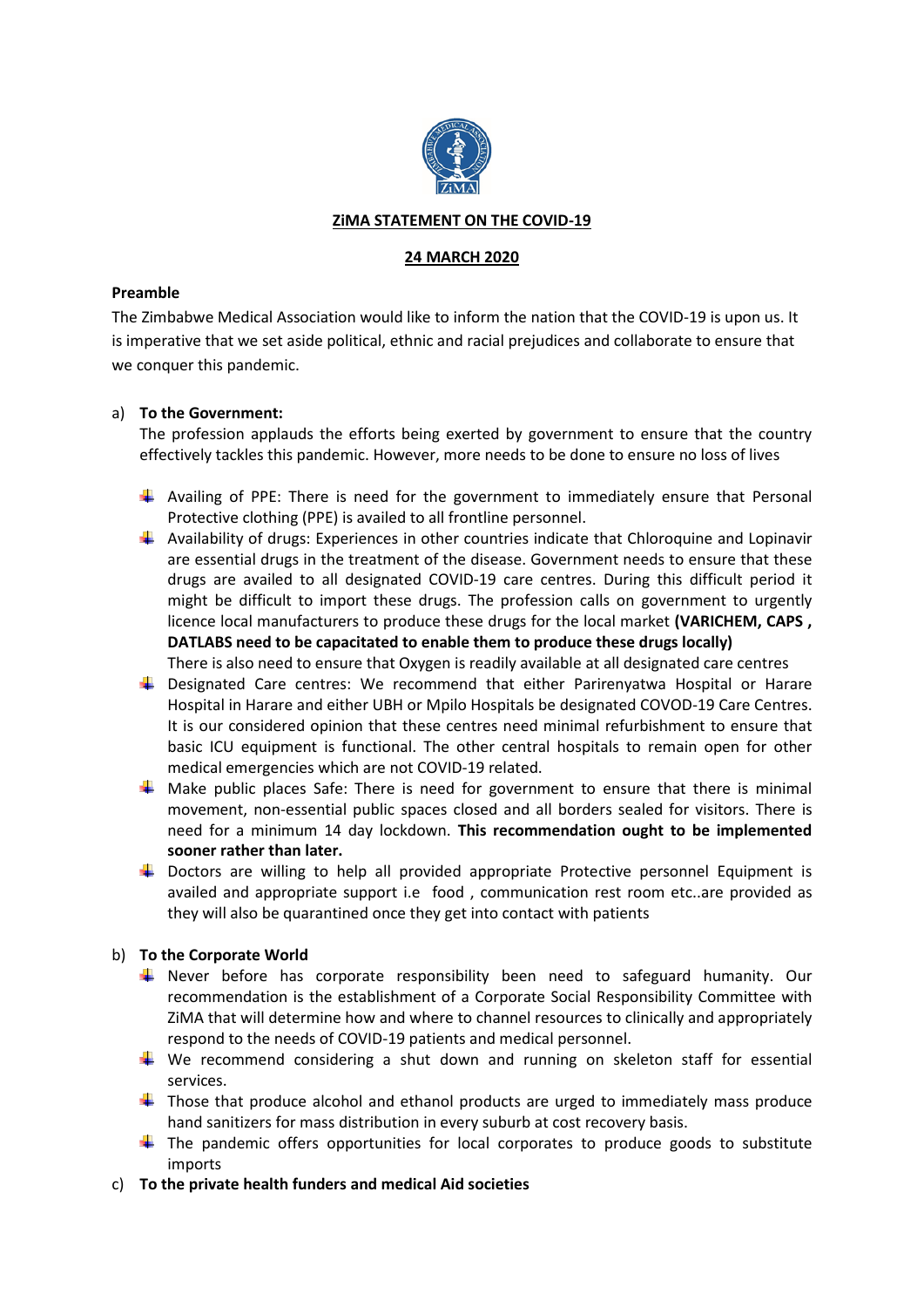

### **ZiMA STATEMENT ON THE COVID-19**

#### **24 MARCH 2020**

#### **Preamble**

The Zimbabwe Medical Association would like to inform the nation that the COVID-19 is upon us. It is imperative that we set aside political, ethnic and racial prejudices and collaborate to ensure that we conquer this pandemic.

#### a) **To the Government:**

The profession applauds the efforts being exerted by government to ensure that the country effectively tackles this pandemic. However, more needs to be done to ensure no loss of lives

- $\ddot{\phantom{1}}$  Availing of PPE: There is need for the government to immediately ensure that Personal Protective clothing (PPE) is availed to all frontline personnel.
- $\ddot{+}$  Availability of drugs: Experiences in other countries indicate that Chloroquine and Lopinavir are essential drugs in the treatment of the disease. Government needs to ensure that these drugs are availed to all designated COVID-19 care centres. During this difficult period it might be difficult to import these drugs. The profession calls on government to urgently licence local manufacturers to produce these drugs for the local market **(VARICHEM, CAPS , DATLABS need to be capacitated to enable them to produce these drugs locally)** There is also need to ensure that Oxygen is readily available at all designated care centres
- **L** Designated Care centres: We recommend that either Parirenyatwa Hospital or Harare Hospital in Harare and either UBH or Mpilo Hospitals be designated COVOD-19 Care Centres. It is our considered opinion that these centres need minimal refurbishment to ensure that basic ICU equipment is functional. The other central hospitals to remain open for other medical emergencies which are not COVID-19 related.
- $\frac{1}{\sqrt{2}}$  Make public places Safe: There is need for government to ensure that there is minimal movement, non-essential public spaces closed and all borders sealed for visitors. There is need for a minimum 14 day lockdown. **This recommendation ought to be implemented sooner rather than later.**
- $\ddot{\phantom{1}}$  Doctors are willing to help all provided appropriate Protective personnel Equipment is availed and appropriate support i.e food , communication rest room etc..are provided as they will also be quarantined once they get into contact with patients

### b) **To the Corporate World**

- Finever before has corporate responsibility been need to safeguard humanity. Our recommendation is the establishment of a Corporate Social Responsibility Committee with ZiMA that will determine how and where to channel resources to clinically and appropriately respond to the needs of COVID-19 patients and medical personnel.
- $\ddot{+}$  We recommend considering a shut down and running on skeleton staff for essential services.
- $\ddot$  Those that produce alcohol and ethanol products are urged to immediately mass produce hand sanitizers for mass distribution in every suburb at cost recovery basis.
- $\ddot{+}$  The pandemic offers opportunities for local corporates to produce goods to substitute imports
- c) **To the private health funders and medical Aid societies**